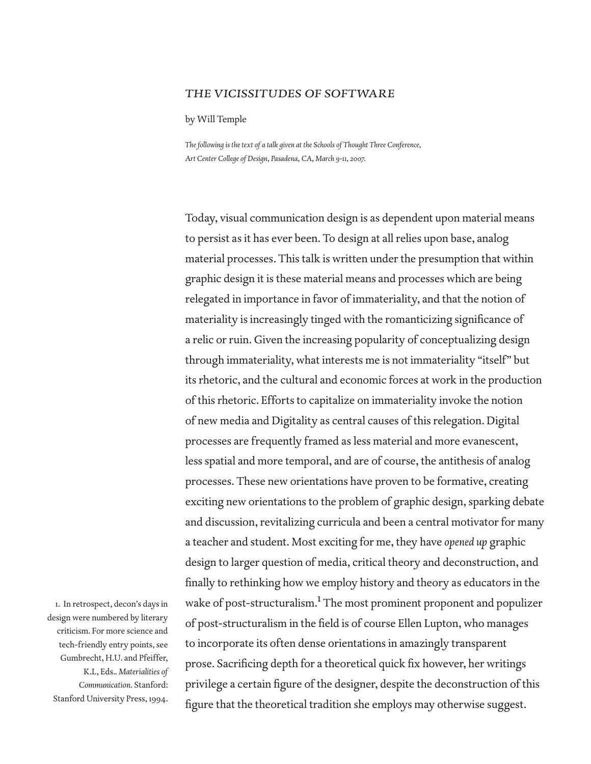## *the vicissitudes of software*

by Will Temple

*The following is the text of a talk given at the Schools of Thought Three Conference, Art Center College of Design, Pasadena, CA, March 9-11, 2007.*

Today, visual communication design is as dependent upon material means to persist as it has ever been. To design at all relies upon base, analog material processes. This talk is written under the presumption that within graphic design it is these material means and processes which are being relegated in importance in favor of immateriality, and that the notion of materiality is increasingly tinged with the romanticizing significance of a relic or ruin. Given the increasing popularity of conceptualizing design through immateriality, what interests me is not immateriality "itself" but its rhetoric, and the cultural and economic forces at work in the production of this rhetoric. Efforts to capitalize on immateriality invoke the notion of new media and Digitality as central causes of this relegation. Digital processes are frequently framed as less material and more evanescent, less spatial and more temporal, and are of course, the antithesis of analog processes. These new orientations have proven to be formative, creating exciting new orientations to the problem of graphic design, sparking debate and discussion, revitalizing curricula and been a central motivator for many a teacher and student. Most exciting for me, they have *opened up* graphic design to larger question of media, critical theory and deconstruction, and finally to rethinking how we employ history and theory as educators in the wake of post-structuralism.<sup>1</sup> The most prominent proponent and populizer of post-structuralism in the field is of course Ellen Lupton, who manages to incorporate its often dense orientations in amazingly transparent prose. Sacrificing depth for a theoretical quick fix however, her writings privilege a certain figure of the designer, despite the deconstruction of this figure that the theoretical tradition she employs may otherwise suggest.

1. In retrospect, decon's days in design were numbered by literary criticism. For more science and tech-friendly entry points, see Gumbrecht, H.U. and Pfeiffer, K.L, Eds.. *Materialities of Communication.* Stanford: Stanford University Press, 1994.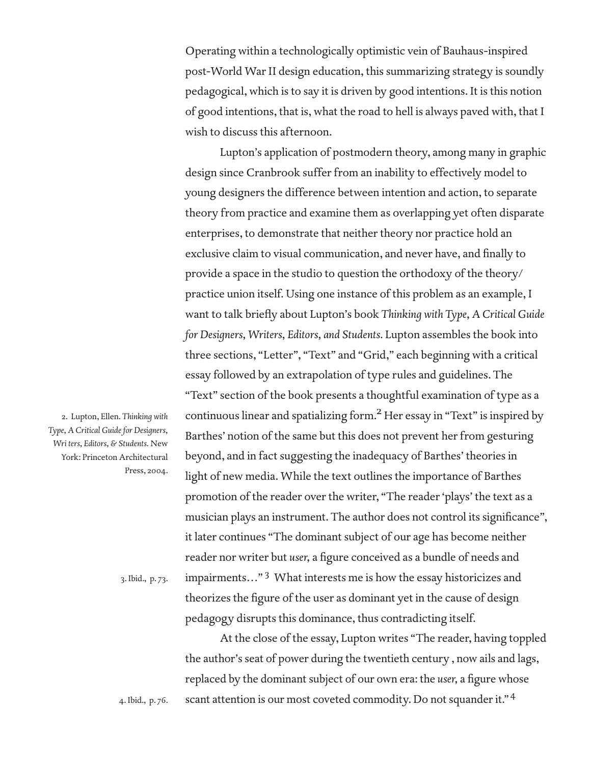Operating within a technologically optimistic vein of Bauhaus-inspired post-World War II design education, this summarizing strategy is soundly pedagogical, which is to say it is driven by good intentions. It is this notion of good intentions, that is, what the road to hell is always paved with, that I wish to discuss this afternoon.

 Lupton's application of postmodern theory, among many in graphic design since Cranbrook suffer from an inability to effectively model to young designers the difference between intention and action, to separate theory from practice and examine them as overlapping yet often disparate enterprises, to demonstrate that neither theory nor practice hold an exclusive claim to visual communication, and never have, and finally to provide a space in the studio to question the orthodoxy of the theory/ practice union itself. Using one instance of this problem as an example, I want to talk briefly about Lupton's book Thinking with Type, A Critical Guide *for Designers, Writers, Editors, and Students*. Lupton assembles the book into three sections, "Letter", "Text" and "Grid," each beginning with a critical essay followed by an extrapolation of type rules and guidelines. The "Text" section of the book presents a thoughtful examination of type as a continuous linear and spatializing form.<sup>2</sup> Her essay in "Text" is inspired by Barthes' notion of the same but this does not prevent her from gesturing beyond, and in fact suggesting the inadequacy of Barthes' theories in light of new media. While the text outlines the importance of Barthes promotion of the reader over the writer, "The reader 'plays' the text as a musician plays an instrument. The author does not control its significance", it later continues "The dominant subject of our age has become neither reader nor writer but *user*, a figure conceived as a bundle of needs and impairments..."<sup>3</sup> What interests me is how the essay historicizes and theorizes the figure of the user as dominant yet in the cause of design pedagogy disrupts this dominance, thus contradicting itself.

 At the close of the essay, Lupton writes "The reader, having toppled the author's seat of power during the twentieth century , now ails and lags, replaced by the dominant subject of our own era: the *user*, a figure whose scant attention is our most coveted commodity. Do not squander it."<sup>4</sup>

2. Lupton, Ellen. *Thinking with Type, A Critical Guide for Designers, Wri ters, Editors, & Students.* New York: Princeton Architectural Press, 2004.

3. Ibid., p. 73.

4. Ibid., p. 76.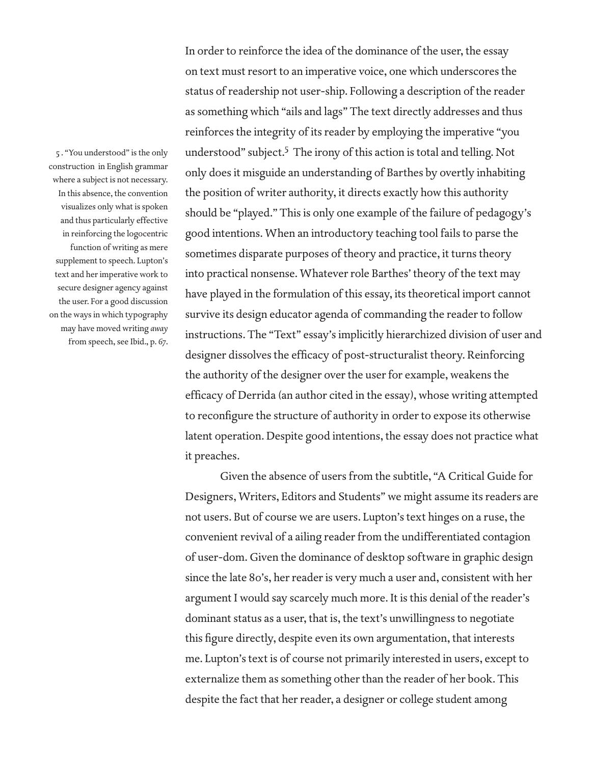5 . "You understood" is the only construction in English grammar where a subject is not necessary. In this absence, the convention visualizes only what is spoken and thus particularly effective in reinforcing the logocentric function of writing as mere supplement to speech. Lupton's text and her imperative work to secure designer agency against the user. For a good discussion on the ways in which typography may have moved writing *away*  from speech, see Ibid., p. 67.

In order to reinforce the idea of the dominance of the user, the essay on text must resort to an imperative voice, one which underscores the status of readership not user-ship. Following a description of the reader as something which "ails and lags" The text directly addresses and thus reinforces the integrity of its reader by employing the imperative "you understood" subject.5 The irony of this action is total and telling. Not only does it misguide an understanding of Barthes by overtly inhabiting the position of writer authority, it directs exactly how this authority should be "played." This is only one example of the failure of pedagogy's good intentions. When an introductory teaching tool fails to parse the sometimes disparate purposes of theory and practice, it turns theory into practical nonsense. Whatever role Barthes' theory of the text may have played in the formulation of this essay, its theoretical import cannot survive its design educator agenda of commanding the reader to follow instructions. The "Text" essay's implicitly hierarchized division of user and designer dissolves the efficacy of post-structuralist theory. Reinforcing the authority of the designer over the user for example, weakens the efficacy of Derrida (an author cited in the essay), whose writing attempted to reconfigure the structure of authority in order to expose its otherwise latent operation. Despite good intentions, the essay does not practice what it preaches.

 Given the absence of users from the subtitle, "A Critical Guide for Designers, Writers, Editors and Students" we might assume its readers are not users. But of course we are users. Lupton's text hinges on a ruse, the convenient revival of a ailing reader from the undifferentiated contagion of user-dom. Given the dominance of desktop software in graphic design since the late 80's, her reader is very much a user and, consistent with her argument I would say scarcely much more. It is this denial of the reader's dominant status as a user, that is, the text's unwillingness to negotiate this figure directly, despite even its own argumentation, that interests me. Lupton's text is of course not primarily interested in users, except to externalize them as something other than the reader of her book. This despite the fact that her reader, a designer or college student among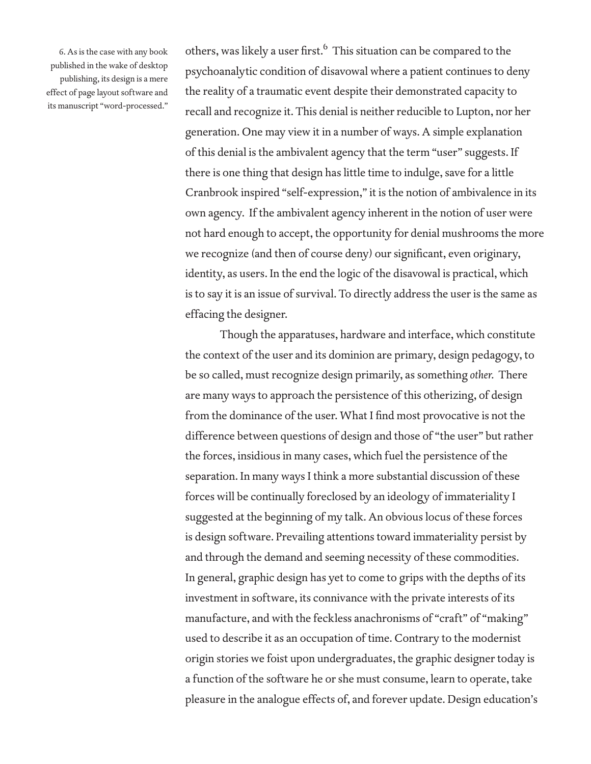6. As is the case with any book published in the wake of desktop publishing, its design is a mere effect of page layout software and its manuscript "word-processed."

others, was likely a user first.<sup>6</sup> This situation can be compared to the psychoanalytic condition of disavowal where a patient continues to deny the reality of a traumatic event despite their demonstrated capacity to recall and recognize it. This denial is neither reducible to Lupton, nor her generation. One may view it in a number of ways. A simple explanation of this denial is the ambivalent agency that the term "user" suggests. If there is one thing that design has little time to indulge, save for a little Cranbrook inspired "self-expression," it is the notion of ambivalence in its own agency. If the ambivalent agency inherent in the notion of user were not hard enough to accept, the opportunity for denial mushrooms the more we recognize (and then of course deny) our significant, even originary, identity, as users. In the end the logic of the disavowal is practical, which is to say it is an issue of survival. To directly address the user is the same as effacing the designer.

 Though the apparatuses, hardware and interface, which constitute the context of the user and its dominion are primary, design pedagogy, to be so called, must recognize design primarily, as something *other.* There are many ways to approach the persistence of this otherizing, of design from the dominance of the user. What I find most provocative is not the difference between questions of design and those of "the user" but rather the forces, insidious in many cases, which fuel the persistence of the separation. In many ways I think a more substantial discussion of these forces will be continually foreclosed by an ideology of immateriality I suggested at the beginning of my talk. An obvious locus of these forces is design software. Prevailing attentions toward immateriality persist by and through the demand and seeming necessity of these commodities. In general, graphic design has yet to come to grips with the depths of its investment in software, its connivance with the private interests of its manufacture, and with the feckless anachronisms of "craft" of "making" used to describe it as an occupation of time. Contrary to the modernist origin stories we foist upon undergraduates, the graphic designer today is a function of the software he or she must consume, learn to operate, take pleasure in the analogue effects of, and forever update. Design education's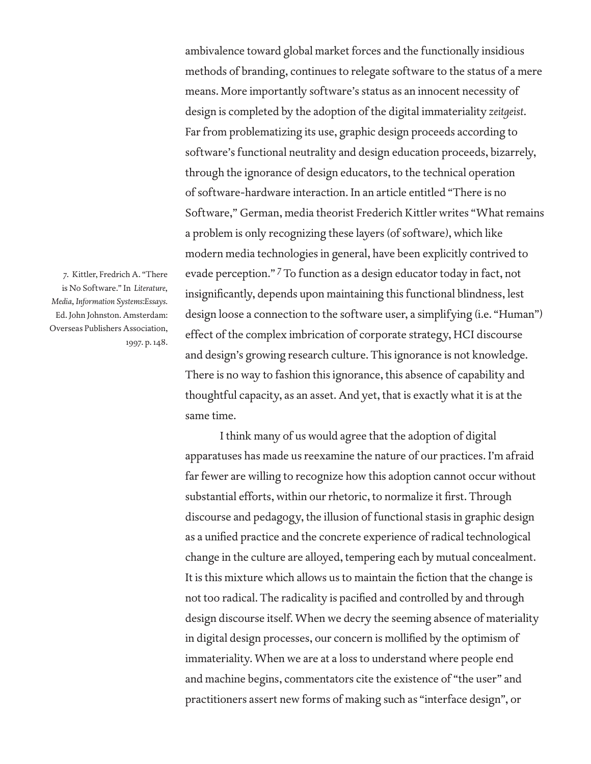7. Kittler, Fredrich A. "There is No Software." In *Literature, Media, Information Systems:Essays.*  Ed. John Johnston. Amsterdam: Overseas Publishers Association, 1997. p. 148.

ambivalence toward global market forces and the functionally insidious methods of branding, continues to relegate software to the status of a mere means. More importantly software's status as an innocent necessity of design is completed by the adoption of the digital immateriality *zeitgeist*. Far from problematizing its use, graphic design proceeds according to software's functional neutrality and design education proceeds, bizarrely, through the ignorance of design educators, to the technical operation of software-hardware interaction. In an article entitled "There is no Software," German, media theorist Frederich Kittler writes "What remains a problem is only recognizing these layers (of software), which like modern media technologies in general, have been explicitly contrived to evade perception." <sup>7</sup> To function as a design educator today in fact, not insignificantly, depends upon maintaining this functional blindness, lest design loose a connection to the software user, a simplifying (i.e. "Human") effect of the complex imbrication of corporate strategy, HCI discourse and design's growing research culture. This ignorance is not knowledge. There is no way to fashion this ignorance, this absence of capability and thoughtful capacity, as an asset. And yet, that is exactly what it is at the same time.

 I think many of us would agree that the adoption of digital apparatuses has made us reexamine the nature of our practices. I'm afraid far fewer are willing to recognize how this adoption cannot occur without substantial efforts, within our rhetoric, to normalize it first. Through discourse and pedagogy, the illusion of functional stasis in graphic design as a unified practice and the concrete experience of radical technological change in the culture are alloyed, tempering each by mutual concealment. It is this mixture which allows us to maintain the fiction that the change is not too radical. The radicality is pacified and controlled by and through design discourse itself. When we decry the seeming absence of materiality in digital design processes, our concern is mollified by the optimism of immateriality. When we are at a loss to understand where people end and machine begins, commentators cite the existence of "the user" and practitioners assert new forms of making such as "interface design", or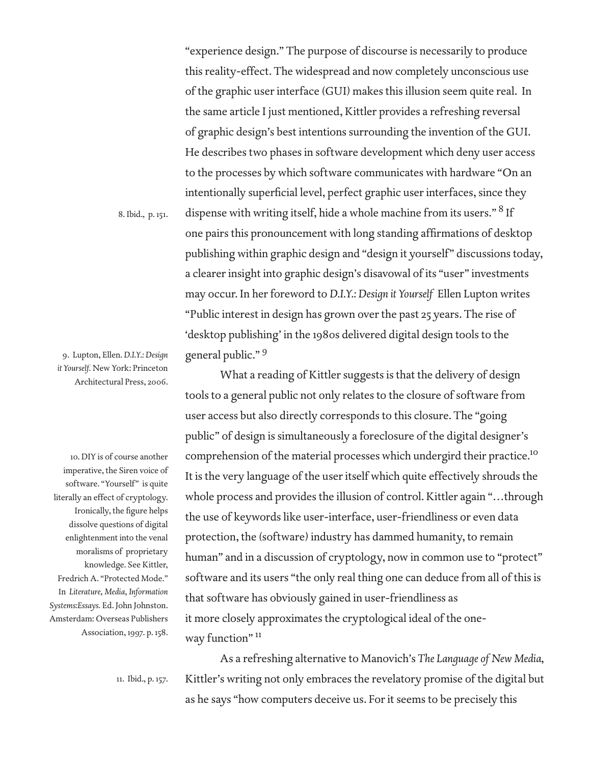8. Ibid., p. 151.

9. Lupton, Ellen. *D.I.Y.: Design it Yourself.* New York: Princeton Architectural Press, 2006.

10. DIY is of course another imperative, the Siren voice of software. "Yourself" is quite literally an effect of cryptology. Ironically, the figure helps dissolve questions of digital enlightenment into the venal moralisms of proprietary knowledge. See Kittler, Fredrich A. "Protected Mode." In *Literature, Media, Information Systems:Essays.* Ed. John Johnston. Amsterdam: Overseas Publishers Association, 1997. p. 158.

"experience design." The purpose of discourse is necessarily to produce this reality-effect. The widespread and now completely unconscious use of the graphic user interface (GUI) makes this illusion seem quite real. In the same article I just mentioned, Kittler provides a refreshing reversal of graphic design's best intentions surrounding the invention of the GUI. He describes two phases in software development which deny user access to the processes by which software communicates with hardware "On an intentionally superficial level, perfect graphic user interfaces, since they dispense with writing itself, hide a whole machine from its users."  $^8$  If one pairs this pronouncement with long standing affirmations of desktop publishing within graphic design and "design it yourself" discussions today, a clearer insight into graphic design's disavowal of its "user" investments may occur. In her foreword to *D.I.Y.: Design it Yourself* Ellen Lupton writes "Public interest in design has grown over the past 25 years. The rise of 'desktop publishing' in the 1980s delivered digital design tools to the general public." <sup>9</sup>

 What a reading of Kittler suggests is that the delivery of design tools to a general public not only relates to the closure of software from user access but also directly corresponds to this closure. The "going public" of design is simultaneously a foreclosure of the digital designer's comprehension of the material processes which undergird their practice.10 It is the very language of the user itself which quite effectively shrouds the whole process and provides the illusion of control. Kittler again "…through the use of keywords like user-interface, user-friendliness or even data protection, the (software) industry has dammed humanity, to remain human" and in a discussion of cryptology, now in common use to "protect" software and its users "the only real thing one can deduce from all of this is that software has obviously gained in user-friendliness as it more closely approximates the cryptological ideal of the oneway function"<sup>11</sup>

11. Ibid., p. 157.

 As a refreshing alternative to Manovich's *The Language of New Media*, Kittler's writing not only embraces the revelatory promise of the digital but as he says "how computers deceive us. For it seems to be precisely this